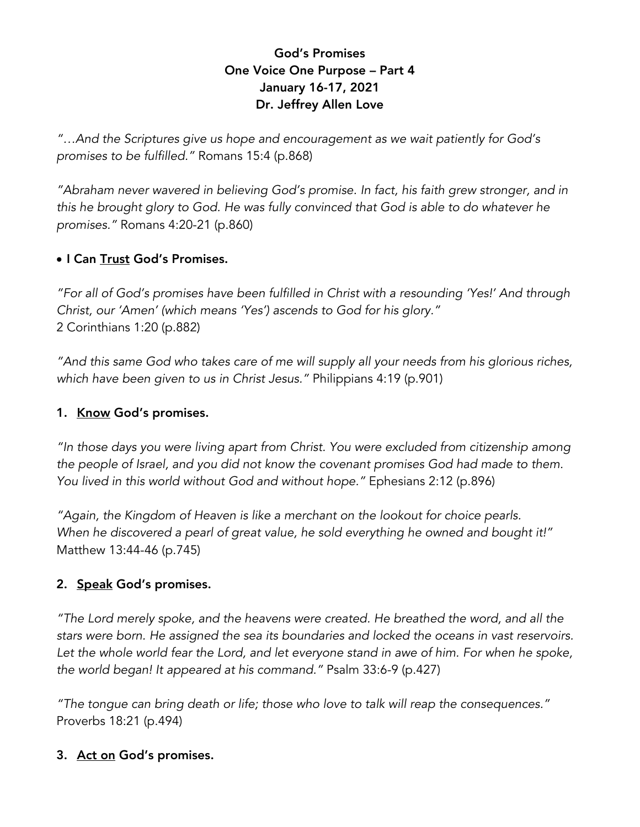# God's Promises One Voice One Purpose – Part 4 January 16-17, 2021 Dr. Jeffrey Allen Love

*"…And the Scriptures give us hope and encouragement as we wait patiently for God's promises to be fulfilled."* Romans 15:4 (p.868)

*"Abraham never wavered in believing God's promise. In fact, his faith grew stronger, and in this he brought glory to God. He was fully convinced that God is able to do whatever he promises."* Romans 4:20-21 (p.860)

## • I Can Trust God's Promises.

*"For all of God's promises have been fulfilled in Christ with a resounding 'Yes!' And through Christ, our 'Amen' (which means 'Yes') ascends to God for his glory."* 2 Corinthians 1:20 (p.882)

*"And this same God who takes care of me will supply all your needs from his glorious riches, which have been given to us in Christ Jesus."* Philippians 4:19 (p.901)

#### 1. Know God's promises.

*"In those days you were living apart from Christ. You were excluded from citizenship among the people of Israel, and you did not know the covenant promises God had made to them. You lived in this world without God and without hope."* Ephesians 2:12 (p.896)

*"Again, the Kingdom of Heaven is like a merchant on the lookout for choice pearls. When he discovered a pearl of great value, he sold everything he owned and bought it!"*  Matthew 13:44-46 (p.745)

#### 2. Speak God's promises.

*"The Lord merely spoke, and the heavens were created. He breathed the word, and all the stars were born. He assigned the sea its boundaries and locked the oceans in vast reservoirs. Let the whole world fear the Lord, and let everyone stand in awe of him. For when he spoke, the world began! It appeared at his command."* Psalm 33:6-9 (p.427)

*"The tongue can bring death or life; those who love to talk will reap the consequences."*  Proverbs 18:21 (p.494)

## 3. Act on God's promises.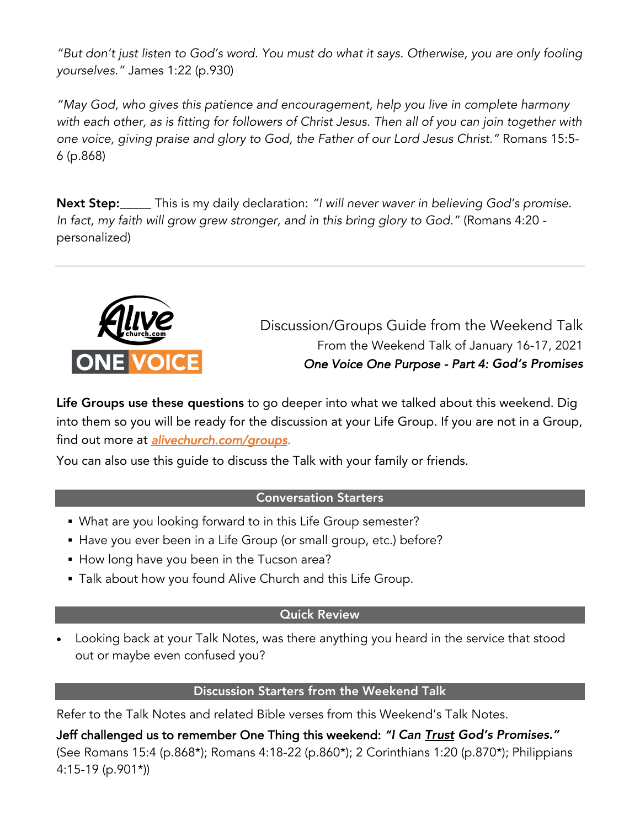*"But don't just listen to God's word. You must do what it says. Otherwise, you are only fooling yourselves."* James 1:22 (p.930)

*"May God, who gives this patience and encouragement, help you live in complete harmony with each other, as is fitting for followers of Christ Jesus. Then all of you can join together with one voice, giving praise and glory to God, the Father of our Lord Jesus Christ."* Romans 15:5- 6 (p.868)

Next Step:\_\_\_\_\_ This is my daily declaration: *"I will never waver in believing God's promise. In fact, my faith will grow grew stronger, and in this bring glory to God."* (Romans 4:20 personalized)



Discussion/Groups Guide from the Weekend Talk From the Weekend Talk of January 16-17, 2021 *One Voice One Purpose - Part 4: God's Promises*

Life Groups use these questions to go deeper into what we talked about this weekend. Dig into them so you will be ready for the discussion at your Life Group. If you are not in a Group, find out more at *alivechurch.com/groups.* 

You can also use this guide to discuss the Talk with your family or friends.

#### Conversation Starters

- § What are you looking forward to in this Life Group semester?
- Have you ever been in a Life Group (or small group, etc.) before?
- How long have you been in the Tucson area?
- Talk about how you found Alive Church and this Life Group.

## Quick Review

• Looking back at your Talk Notes, was there anything you heard in the service that stood out or maybe even confused you?

## Discussion Starters from the Weekend Talk

Refer to the Talk Notes and related Bible verses from this Weekend's Talk Notes.

Jeff challenged us to remember One Thing this weekend: *"I Can Trust God's Promises."* (See Romans 15:4 (p.868\*); Romans 4:18-22 (p.860\*); 2 Corinthians 1:20 (p.870\*); Philippians 4:15-19 (p.901\*))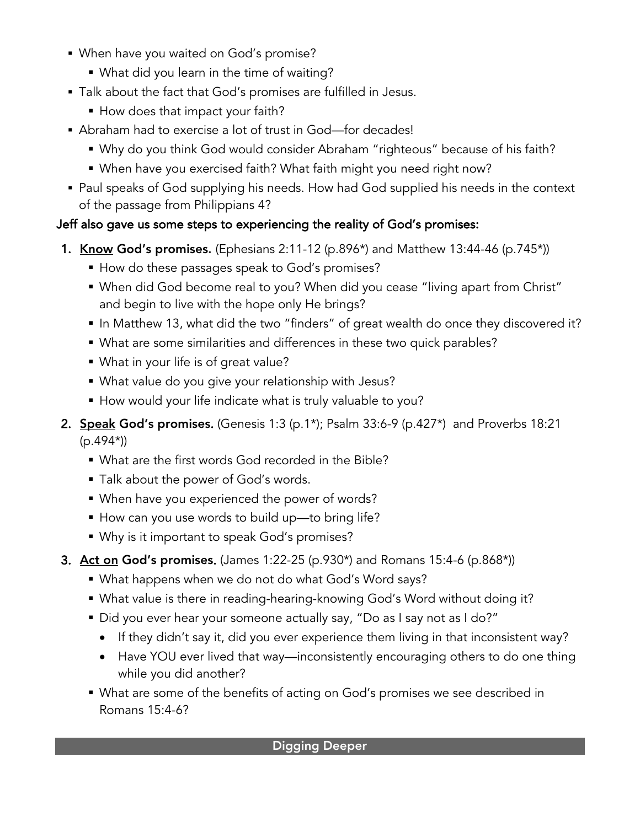- When have you waited on God's promise?
	- What did you learn in the time of waiting?
- § Talk about the fact that God's promises are fulfilled in Jesus.
	- How does that impact your faith?
- Abraham had to exercise a lot of trust in God—for decades!
	- Why do you think God would consider Abraham "righteous" because of his faith?
	- When have you exercised faith? What faith might you need right now?
- Paul speaks of God supplying his needs. How had God supplied his needs in the context of the passage from Philippians 4?

# Jeff also gave us some steps to experiencing the reality of God's promises:

- **1. Know God's promises.** (Ephesians 2:11-12 (p.896<sup>\*</sup>) and Matthew 13:44-46 (p.745<sup>\*</sup>))
	- How do these passages speak to God's promises?
	- When did God become real to you? When did you cease "living apart from Christ" and begin to live with the hope only He brings?
	- In Matthew 13, what did the two "finders" of great wealth do once they discovered it?
	- What are some similarities and differences in these two quick parables?
	- § What in your life is of great value?
	- § What value do you give your relationship with Jesus?
	- How would your life indicate what is truly valuable to you?
- 2. **Speak God's promises.** (Genesis 1:3 (p.1\*); Psalm 33:6-9 (p.427\*) and Proverbs 18:21 (p.494\*))
	- What are the first words God recorded in the Bible?
	- § Talk about the power of God's words.
	- When have you experienced the power of words?
	- How can you use words to build up—to bring life?
	- Why is it important to speak God's promises?
- 3. Act on God's promises. (James 1:22-25 (p.930\*) and Romans 15:4-6 (p.868\*))
	- § What happens when we do not do what God's Word says?
	- What value is there in reading-hearing-knowing God's Word without doing it?
	- Did you ever hear your someone actually say, "Do as I say not as I do?"
		- If they didn't say it, did you ever experience them living in that inconsistent way?
		- Have YOU ever lived that way—inconsistently encouraging others to do one thing while you did another?
	- What are some of the benefits of acting on God's promises we see described in Romans 15:4-6?